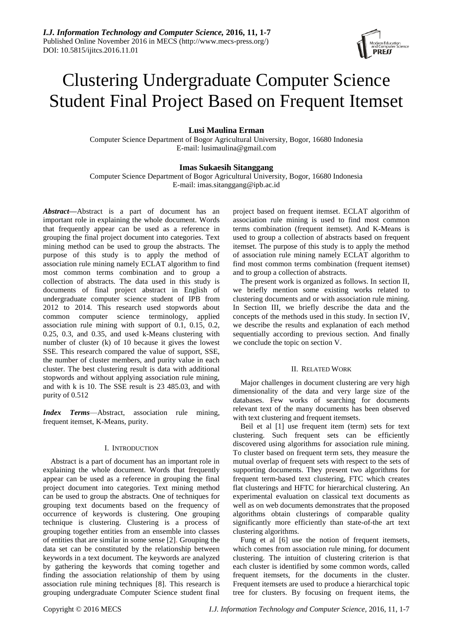# Clustering Undergraduate Computer Science Student Final Project Based on Frequent Itemset

# **Lusi Maulina Erman**

Computer Science Department of Bogor Agricultural University, Bogor, 16680 Indonesia E-mail: lusimaulina@gmail.com

# **Imas Sukaesih Sitanggang**

Computer Science Department of Bogor Agricultural University, Bogor, 16680 Indonesia E-mail: imas.sitanggang@ipb.ac.id

*Abstract***—**Abstract is a part of document has an important role in explaining the whole document. Words that frequently appear can be used as a reference in grouping the final project document into categories. Text mining method can be used to group the abstracts. The purpose of this study is to apply the method of association rule mining namely ECLAT algorithm to find most common terms combination and to group a collection of abstracts. The data used in this study is documents of final project abstract in English of undergraduate computer science student of IPB from 2012 to 2014. This research used stopwords about common computer science terminology, applied association rule mining with support of 0.1, 0.15, 0.2, 0.25, 0.3, and 0.35, and used k-Means clustering with number of cluster (k) of 10 because it gives the lowest SSE. This research compared the value of support, SSE, the number of cluster members, and purity value in each cluster. The best clustering result is data with additional stopwords and without applying association rule mining, and with k is 10. The SSE result is 23 485.03, and with purity of 0.512

*Index Terms*—Abstract, association rule mining, frequent itemset, K-Means, purity.

# I. INTRODUCTION

Abstract is a part of document has an important role in explaining the whole document. Words that frequently appear can be used as a reference in grouping the final project document into categories. Text mining method can be used to group the abstracts. One of techniques for grouping text documents based on the frequency of occurrence of keywords is clustering. One grouping technique is clustering. Clustering is a process of grouping together entities from an ensemble into classes of entities that are similar in some sense [2]. Grouping the data set can be constituted by the relationship between keywords in a text document. The keywords are analyzed by gathering the keywords that coming together and finding the association relationship of them by using association rule mining techniques [8]. This research is grouping undergraduate Computer Science student final

project based on frequent itemset. ECLAT algorithm of association rule mining is used to find most common terms combination (frequent itemset). And K-Means is used to group a collection of abstracts based on frequent itemset. The purpose of this study is to apply the method of association rule mining namely ECLAT algorithm to find most common terms combination (frequent itemset) and to group a collection of abstracts.

The present work is organized as follows. In section II, we briefly mention some existing works related to clustering documents and or with association rule mining. In Section III, we briefly describe the data and the concepts of the methods used in this study. In section IV, we describe the results and explanation of each method sequentially according to previous section. And finally we conclude the topic on section V.

# II. RELATED WORK

Major challenges in document clustering are very high dimensionality of the data and very large size of the databases. Few works of searching for documents relevant text of the many documents has been observed with text clustering and frequent itemsets.

Beil et al [1] use frequent item (term) sets for text clustering. Such frequent sets can be efficiently discovered using algorithms for association rule mining. To cluster based on frequent term sets, they measure the mutual overlap of frequent sets with respect to the sets of supporting documents. They present two algorithms for frequent term-based text clustering, FTC which creates flat clusterings and HFTC for hierarchical clustering. An experimental evaluation on classical text documents as well as on web documents demonstrates that the proposed algorithms obtain clusterings of comparable quality significantly more efficiently than state-of-the art text clustering algorithms.

Fung et al [6] use the notion of frequent itemsets, which comes from association rule mining, for document clustering. The intuition of clustering criterion is that each cluster is identified by some common words, called frequent itemsets, for the documents in the cluster. Frequent itemsets are used to produce a hierarchical topic tree for clusters. By focusing on frequent items, the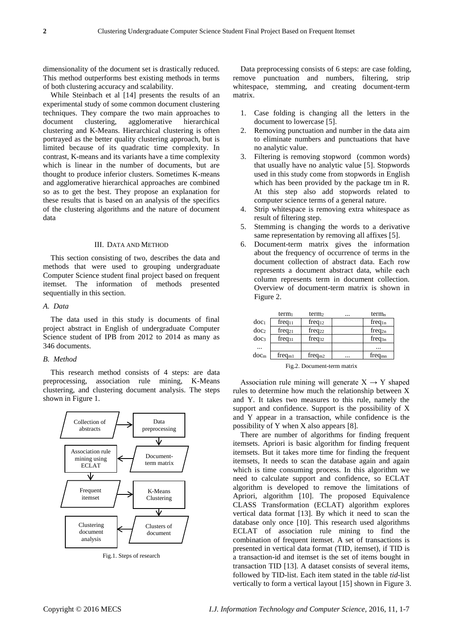dimensionality of the document set is drastically reduced. This method outperforms best existing methods in terms of both clustering accuracy and scalability.

While Steinbach et al [14] presents the results of an experimental study of some common document clustering techniques. They compare the two main approaches to document clustering, agglomerative hierarchical clustering and K-Means. Hierarchical clustering is often portrayed as the better quality clustering approach, but is limited because of its quadratic time complexity. In contrast, K-means and its variants have a time complexity which is linear in the number of documents, but are thought to produce inferior clusters. Sometimes K-means and agglomerative hierarchical approaches are combined so as to get the best. They propose an explanation for these results that is based on an analysis of the specifics of the clustering algorithms and the nature of document data

# III. DATA AND METHOD

This section consisting of two, describes the data and methods that were used to grouping undergraduate Computer Science student final project based on frequent itemset. The information of methods presented sequentially in this section.

# *A. Data*

The data used in this study is documents of final project abstract in English of undergraduate Computer Science student of IPB from 2012 to 2014 as many as 346 documents.

### *B. Method*

This research method consists of 4 steps: are data preprocessing, association rule mining, K-Means clustering, and clustering document analysis. The steps shown in Figure 1.



Fig.1. Steps of research

Data preprocessing consists of 6 steps: are case folding, remove punctuation and numbers, filtering, strip whitespace, stemming, and creating document-term matrix.

- 1. Case folding is changing all the letters in the document to lowercase [5].
- 2. Removing punctuation and number in the data aim to eliminate numbers and punctuations that have no analytic value.
- 3. Filtering is removing stopword (common words) that usually have no analytic value [5]. Stopwords used in this study come from stopwords in English which has been provided by the package tm in R. At this step also add stopwords related to computer science terms of a general nature.
- 4. Strip whitespace is removing extra whitespace as result of filtering step.
- 5. Stemming is changing the words to a derivative same representation by removing all affixes [5].
- 6. Document-term matrix gives the information about the frequency of occurrence of terms in the document collection of abstract data. Each row represents a document abstract data, while each column represents term in document collection. Overview of document-term matrix is shown in Figure 2.

|                  | term <sub>1</sub>  | term <sub>2</sub>  | <br>term <sub>n</sub>  |
|------------------|--------------------|--------------------|------------------------|
| doc <sub>1</sub> | $freq_{11}$        | $freq_{12}$        | freq <sub>1n</sub>     |
| doc <sub>2</sub> | freq <sub>21</sub> | freq <sub>22</sub> | freq <sub>2n</sub>     |
| doc <sub>3</sub> | $freq_{31}$        | $freq_{32}$        | freq <sub>3n</sub>     |
| $\cdots$         |                    |                    | $\cdots$               |
| doc <sub>m</sub> | freq <sub>m1</sub> | freq <sub>m2</sub> | <br>freq <sub>mn</sub> |

Fig.2. Document-term matrix

Association rule mining will generate  $X \rightarrow Y$  shaped rules to determine how much the relationship between X and Y. It takes two measures to this rule, namely the support and confidence. Support is the possibility of X and Y appear in a transaction, while confidence is the possibility of Y when X also appears [8].

There are number of algorithms for finding frequent itemsets. Apriori is basic algorithm for finding frequent itemsets. But it takes more time for finding the frequent itemsets, It needs to scan the database again and again which is time consuming process. In this algorithm we need to calculate support and confidence, so ECLAT algorithm is developed to remove the limitations of Apriori, algorithm [10]. The proposed Equivalence CLASS Transformation (ECLAT) algorithm explores vertical data format [13]. By which it need to scan the database only once [10]. This research used algorithms ECLAT of association rule mining to find the combination of frequent itemset. A set of transactions is presented in vertical data format (TID, itemset), if TID is a transaction-id and itemset is the set of items bought in transaction TID [13]. A dataset consists of several items, followed by TID-list. Each item stated in the table *tid*-list vertically to form a vertical layout [15] shown in Figure 3.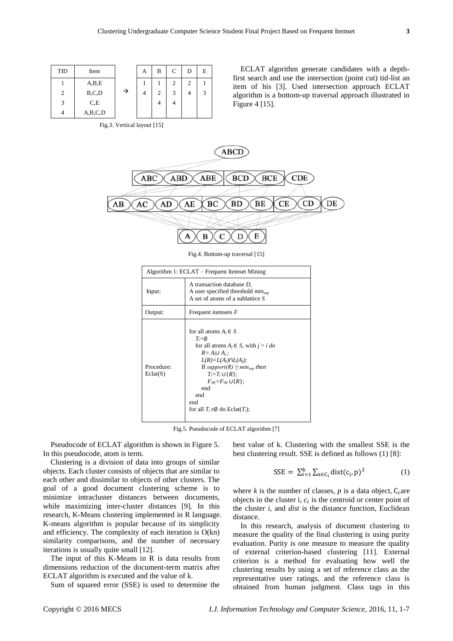| TID | Item    |   | А | B | C              |
|-----|---------|---|---|---|----------------|
|     | A,B,E   |   |   |   | $\overline{2}$ |
| 2   | B, C, D | → |   | 2 | 3              |
| 3   | C,E     |   |   |   | 4              |
|     | A,B,C,D |   |   |   |                |

| ΊD | Item    |   | А | B | $\mathsf{C}$ | D | E |
|----|---------|---|---|---|--------------|---|---|
| 1  | A,B,E   |   |   |   |              | 2 |   |
| 2  | B, C, D | → |   | ◠ | 3            |   |   |
| 3  | C,E     |   |   |   |              |   |   |
| 4  | A,B,C,D |   |   |   |              |   |   |

Fig.3. Vertical layout [15]

ECLAT algorithm generate candidates with a depthfirst search and use the intersection (point cut) tid-list an item of his [3]. Used intersection approach ECLAT algorithm is a bottom-up traversal approach illustrated in Figure 4 [15].



Fig.4. Bottom-up traversal [15]

| Algorithm 1: ECLAT – Frequent Itemset Mining |                                                                                                                                                                                                                                                                                                                                |  |  |
|----------------------------------------------|--------------------------------------------------------------------------------------------------------------------------------------------------------------------------------------------------------------------------------------------------------------------------------------------------------------------------------|--|--|
| Input:                                       | A transaction database D,<br>A user specified threshold $min_{sub}$<br>A set of atoms of a sublattice $S$                                                                                                                                                                                                                      |  |  |
| Output:                                      | Frequent itemsets $F$                                                                                                                                                                                                                                                                                                          |  |  |
| Procedure:<br>Eclat(S)                       | for all atoms $A_i \in S$<br>$T_i = \emptyset$<br>for all atoms $A_i \in S$ , with $j > i$ do<br>$R = A_i \cup A_i$ ;<br>$L(R)=L(A_i)\cap L(A_i);$<br>If support(R) $\geq min_{sup}$ then<br>$T_i = T_i \cup \{R\}$ ;<br>$F_{IR} = F_{IR} \cup \{R\};$<br>end<br>end<br>end<br>for all $T_i \neq \emptyset$ do Eclat( $T_i$ ); |  |  |

Fig.5. Pseudocode of ECLAT algorithm [7]

Pseudocode of ECLAT algorithm is shown in Figure 5. In this pseudocode, atom is term.

Clustering is a division of data into groups of similar objects. Each cluster consists of objects that are similar to each other and dissimilar to objects of other clusters. The goal of a good document clustering scheme is to minimize intracluster distances between documents, while maximizing inter-cluster distances [9]. In this research, K-Means clustering implemented in R language. K-means algorithm is popular because of its simplicity and efficiency. The complexity of each iteration is O(kn) similarity comparisons, and the number of necessary iterations is usually quite small [12].

The input of this K-Means in R is data results from dimensions reduction of the document-term matrix after ECLAT algorithm is executed and the value of k.

Sum of squared error (SSE) is used to determine the

best value of k. Clustering with the smallest SSE is the best clustering result. SSE is defined as follows (1) [8]:

$$
SSE = \sum_{i=1}^{k} \sum_{x \in C_i} dist(c_i, p)^2
$$
 (1)

where *k* is the number of classes, *p* is a data object,  $C_i$  are objects in the cluster i,  $c_i$  is the centroid or center point of the cluster *i*, and *dist* is the distance function, Euclidean distance.

In this research, analysis of document clustering to measure the quality of the final clustering is using purity evaluation. Purity is one measure to measure the quality of external criterion-based clustering [11]. External criterion is a method for evaluating how well the clustering results by using a set of reference class as the representative user ratings, and the reference class is obtained from human judgment. Class tags in this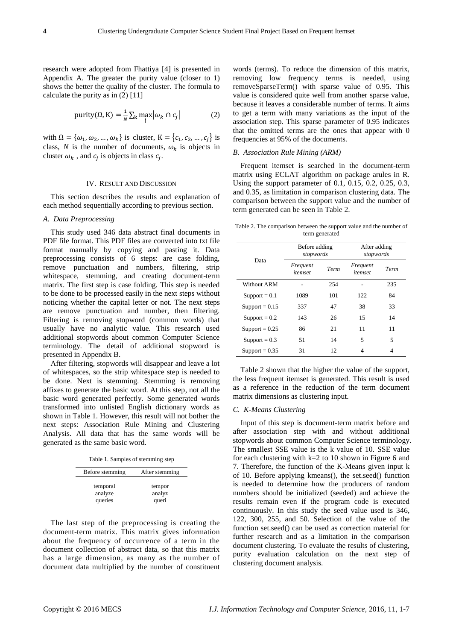research were adopted from Fhattiya [4] is presented in Appendix A. The greater the purity value (closer to 1) shows the better the quality of the cluster. The formula to calculate the purity as in (2) [11]

$$
purity(\Omega, K) = \frac{1}{N} \sum_{k} \max_{j} |\omega_k \cap c_j|
$$
 (2)

with  $\Omega = {\omega_1, \omega_2, ..., \omega_k}$  is cluster,  $K = {c_1, c_2, ..., c_j}$  is class, N is the number of documents,  $\omega_k$  is objects in cluster  $\omega_k$ , and  $c_j$  is objects in class  $c_j$ .

#### IV. RESULT AND DISCUSSION

This section describes the results and explanation of each method sequentially according to previous section.

#### *A. Data Preprocessing*

This study used 346 data abstract final documents in PDF file format. This PDF files are converted into txt file format manually by copying and pasting it. Data preprocessing consists of 6 steps: are case folding, remove punctuation and numbers, filtering, strip whitespace, stemming, and creating document-term matrix. The first step is case folding. This step is needed to be done to be processed easily in the next steps without noticing whether the capital letter or not. The next steps are remove punctuation and number, then filtering. Filtering is removing stopword (common words) that usually have no analytic value. This research used additional stopwords about common Computer Science terminology. The detail of additional stopword is presented in Appendix B.

After filtering, stopwords will disappear and leave a lot of whitespaces, so the strip whitespace step is needed to be done. Next is stemming. Stemming is removing affixes to generate the basic word. At this step, not all the basic word generated perfectly. Some generated words transformed into unlisted English dictionary words as shown in Table 1. However, this result will not bother the next steps: Association Rule Mining and Clustering Analysis. All data that has the same words will be generated as the same basic word.

Table 1. Samples of stemming step

| Before stemming | After stemming |
|-----------------|----------------|
| temporal        | tempor         |
| analyze         | analyz         |
| queries         | queri          |

The last step of the preprocessing is creating the document-term matrix. This matrix gives information about the frequency of occurrence of a term in the document collection of abstract data, so that this matrix has a large dimension, as many as the number of document data multiplied by the number of constituent words (terms). To reduce the dimension of this matrix, removing low frequency terms is needed, using removeSparseTerm() with sparse value of 0.95. This value is considered quite well from another sparse value, because it leaves a considerable number of terms. It aims to get a term with many variations as the input of the association step. This sparse parameter of 0.95 indicates that the omitted terms are the ones that appear with 0 frequencies at 95% of the documents.

### *B. Association Rule Mining (ARM)*

Frequent itemset is searched in the document-term matrix using ECLAT algorithm on package arules in R. Using the support parameter of 0.1, 0.15, 0.2, 0.25, 0.3, and 0.35, as limitation in comparison clustering data. The comparison between the support value and the number of term generated can be seen in Table 2.

Table 2. The comparison between the support value and the number of term generated

|                  | Before adding<br>stopwords |      | After adding<br>stopwords |      |  |
|------------------|----------------------------|------|---------------------------|------|--|
| Data             | Frequent<br>itemset        | Term | Frequent<br>itemset       | Term |  |
| Without ARM      |                            | 254  |                           | 235  |  |
| $Support = 0.1$  | 1089                       | 101  | 122                       | 84   |  |
| Support = $0.15$ | 337                        | 47   | 38                        | 33   |  |
| Support = $0.2$  | 143                        | 26   | 15                        | 14   |  |
| Support = $0.25$ | 86                         | 21   | 11                        | 11   |  |
| Support = $0.3$  | 51                         | 14   | 5                         | 5    |  |
| Support = $0.35$ | 31                         | 12   | 4                         | 4    |  |

Table 2 shown that the higher the value of the support, the less frequent itemset is generated. This result is used as a reference in the reduction of the term document matrix dimensions as clustering input.

#### *C. K-Means Clustering*

Input of this step is document-term matrix before and after association step with and without additional stopwords about common Computer Science terminology. The smallest SSE value is the k value of 10. SSE value for each clustering with k=2 to 10 shown in Figure 6 and 7. Therefore, the function of the K-Means given input k of 10. Before applying kmeans(), the set.seed() function is needed to determine how the producers of random numbers should be initialized (seeded) and achieve the results remain even if the program code is executed continuously. In this study the seed value used is 346, 122, 300, 255, and 50. Selection of the value of the function set.seed() can be used as correction material for further research and as a limitation in the comparison document clustering. To evaluate the results of clustering, purity evaluation calculation on the next step of clustering document analysis.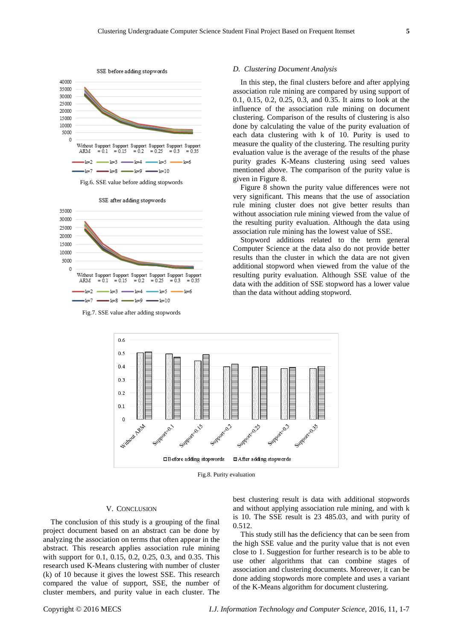



SSE after adding stopwords

Fig.7. SSE value after adding stopwords

#### *D. Clustering Document Analysis*

In this step, the final clusters before and after applying association rule mining are compared by using support of 0.1, 0.15, 0.2, 0.25, 0.3, and 0.35. It aims to look at the influence of the association rule mining on document clustering. Comparison of the results of clustering is also done by calculating the value of the purity evaluation of each data clustering with k of 10. Purity is used to measure the quality of the clustering. The resulting purity evaluation value is the average of the results of the phase purity grades K-Means clustering using seed values mentioned above. The comparison of the purity value is given in Figure 8.

Figure 8 shown the purity value differences were not very significant. This means that the use of association rule mining cluster does not give better results than without association rule mining viewed from the value of the resulting purity evaluation. Although the data using association rule mining has the lowest value of SSE.

Stopword additions related to the term general Computer Science at the data also do not provide better results than the cluster in which the data are not given additional stopword when viewed from the value of the resulting purity evaluation. Although SSE value of the data with the addition of SSE stopword has a lower value than the data without adding stopword.



Fig.8. Purity evaluation

### V. CONCLUSION

The conclusion of this study is a grouping of the final project document based on an abstract can be done by analyzing the association on terms that often appear in the abstract. This research applies association rule mining with support for 0.1, 0.15, 0.2, 0.25, 0.3, and 0.35. This research used K-Means clustering with number of cluster (k) of 10 because it gives the lowest SSE. This research compared the value of support, SSE, the number of cluster members, and purity value in each cluster. The best clustering result is data with additional stopwords and without applying association rule mining, and with k is 10. The SSE result is 23 485.03, and with purity of 0.512.

This study still has the deficiency that can be seen from the high SSE value and the purity value that is not even close to 1. Suggestion for further research is to be able to use other algorithms that can combine stages of association and clustering documents. Moreover, it can be done adding stopwords more complete and uses a variant of the K-Means algorithm for document clustering.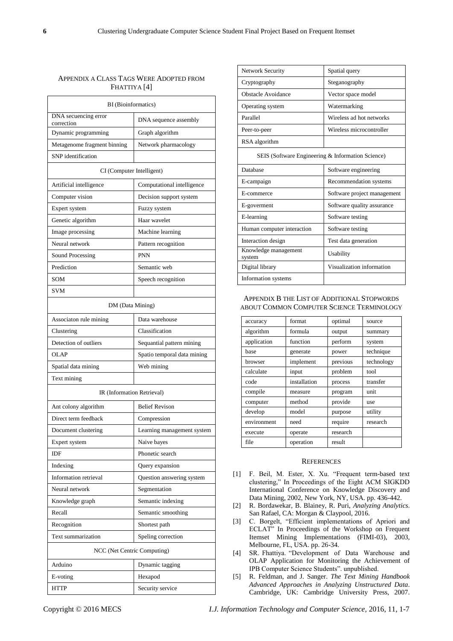# APPENDIX A CLASS TAGS WERE ADOPTED FROM FHATTIYA [4]

| BI (Bioinformatics)                |                             |  |  |  |  |
|------------------------------------|-----------------------------|--|--|--|--|
| DNA secuencing error<br>correction | DNA sequence assembly       |  |  |  |  |
| Dynamic programming                | Graph algorithm             |  |  |  |  |
| Metagenome fragment binning        | Network pharmacology        |  |  |  |  |
| SNP identification                 |                             |  |  |  |  |
| CI (Computer Intelligent)          |                             |  |  |  |  |
| Artificial intelligence            | Computational intelligence  |  |  |  |  |
| Computer vision                    | Decision support system     |  |  |  |  |
| Expert system                      | Fuzzy system                |  |  |  |  |
| Genetic algorithm                  | Haar wavelet                |  |  |  |  |
| Image processing                   | Machine learning            |  |  |  |  |
| Neural network                     | Pattern recognition         |  |  |  |  |
| Sound Processing                   | <b>PNN</b>                  |  |  |  |  |
| Prediction                         | Semantic web                |  |  |  |  |
| SOM                                | Speech recognition          |  |  |  |  |
| <b>SVM</b>                         |                             |  |  |  |  |
| DM (Data Mining)                   |                             |  |  |  |  |
| Associaton rule mining             | Data warehouse              |  |  |  |  |
| Clustering                         | Classification              |  |  |  |  |
| Detection of outliers              | Sequantial pattern mining   |  |  |  |  |
| <b>OLAP</b>                        | Spatio temporal data mining |  |  |  |  |
| Spatial data mining                | Web mining                  |  |  |  |  |
| Text mining                        |                             |  |  |  |  |
| IR (Information Retrieval)         |                             |  |  |  |  |
| Ant colony algorithm               | <b>Belief Revison</b>       |  |  |  |  |
| Direct term feedback               | Compression                 |  |  |  |  |
| Document clustering                | Learning management system  |  |  |  |  |
| Expert system                      | Naive bayes                 |  |  |  |  |
| IDF                                | Phonetic search             |  |  |  |  |
| Indexing                           | Query expansion             |  |  |  |  |
| Information retrieval              | Question answering system   |  |  |  |  |
| Neural network                     | Segmentation                |  |  |  |  |
| Knowledge graph                    | Semantic indexing           |  |  |  |  |
| Recall                             | Semantic smoothing          |  |  |  |  |
| Recognition                        | Shortest path               |  |  |  |  |
| Text summarization                 | Speling correction          |  |  |  |  |
| NCC (Net Centric Computing)        |                             |  |  |  |  |
| Arduino                            | Dynamic tagging             |  |  |  |  |
| E-voting                           | Hexapod                     |  |  |  |  |
| <b>HTTP</b>                        | Security service            |  |  |  |  |

| Network Security                                  | Spatial query               |  |  |  |
|---------------------------------------------------|-----------------------------|--|--|--|
| Cryptography                                      | Steganography               |  |  |  |
| Obstacle Avoidance                                | Vector space model          |  |  |  |
| Operating system                                  | Watermarking                |  |  |  |
| Parallel                                          | Wireless ad hot networks    |  |  |  |
| Peer-to-peer                                      | Wireless microcontroller    |  |  |  |
| RSA algorithm                                     |                             |  |  |  |
| SEIS (Software Engineering & Information Science) |                             |  |  |  |
| Database                                          | Software engineering        |  |  |  |
| E-campaign                                        | Recommendation systems      |  |  |  |
| E-commerce                                        | Software project management |  |  |  |
| E-goverment                                       | Software quality assurance  |  |  |  |
| E-learning                                        | Software testing            |  |  |  |
| Human computer interaction                        | Software testing            |  |  |  |
| Interaction design                                | Test data generation        |  |  |  |
| Knowledge management<br>system                    | Usability                   |  |  |  |
| Digital library                                   | Visualization information   |  |  |  |
| Information systems                               |                             |  |  |  |

APPENDIX B THE LIST OF ADDITIONAL STOPWORDS ABOUT COMMON COMPUTER SCIENCE TERMINOLOGY

| accuracy    | format       | optimal  | source     |
|-------------|--------------|----------|------------|
| algorithm   | formula      | output   | summary    |
| application | function     | perform  | system     |
| base        | generate     | power    | technique  |
| browser     | implement    | previous | technology |
| calculate   | input        | problem  | tool       |
| code        | installation | process  | transfer   |
| compile     | measure      | program  | unit       |
| computer    | method       | provide  | use        |
| develop     | model        | purpose  | utility    |
| environment | need         | require  | research   |
| execute     | operate      | research |            |
| file        | operation    | result   |            |

#### **REFERENCES**

- [1] F. Beil, M. Ester, X. Xu. "Frequent term-based text clustering," In Proceedings of the Eight ACM SIGKDD International Conference on Knowledge Discovery and Data Mining, 2002, New York, NY, USA. pp. 436-442.
- [2] R. Bordawekar, B. Blainey, R. Puri, *Analyzing Analytics*. San Rafael, CA: Morgan & Claypool, 2016.
- [3] C. Borgelt, "Efficient implementations of Apriori and ECLAT" In Proceedings of the Workshop on Frequent Itemset Mining Implementations (FIMI-03), 2003, Melbourne, FL, USA. pp. 26-34.
- [4] SR. Fhattiya. "Development of Data Warehouse and OLAP Application for Monitoring the Achievement of IPB Computer Science Students". unpublished.
- [5] R. Feldman, and J. Sanger. *The Text Mining Handbook Advanced Approaches in Analyzing Unstructured Data*. Cambridge, UK: Cambridge University Press, 2007.